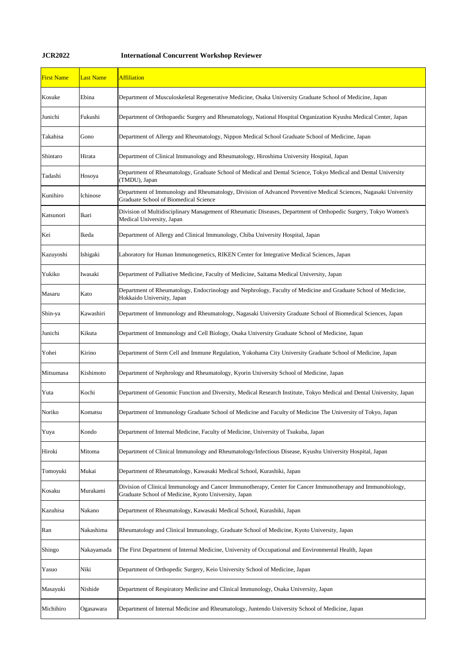## **JCR2022 International Concurrent Workshop Reviewer**

| <b>First Name</b> | <b>Last Name</b> | <b>Affiliation</b>                                                                                                                                                   |
|-------------------|------------------|----------------------------------------------------------------------------------------------------------------------------------------------------------------------|
| Kosuke            | Ebina            | Department of Musculoskeletal Regenerative Medicine, Osaka University Graduate School of Medicine, Japan                                                             |
| Junichi           | Fukushi          | Department of Orthopaedic Surgery and Rheumatology, National Hospital Organization Kyushu Medical Center, Japan                                                      |
| Takahisa          | Gono             | Department of Allergy and Rheumatology, Nippon Medical School Graduate School of Medicine, Japan                                                                     |
| Shintaro          | Hirata           | Department of Clinical Immunology and Rheumatology, Hiroshima University Hospital, Japan                                                                             |
| Tadashi           | Hosoya           | Department of Rheumatology, Graduate School of Medical and Dental Science, Tokyo Medical and Dental University<br>(TMDU), Japan                                      |
| Kunihiro          | Ichinose         | Department of Immunology and Rheumatology, Division of Advanced Preventive Medical Sciences, Nagasaki University<br><b>Graduate School of Biomedical Science</b>     |
| Katsunori         | Ikari            | Division of Multidisciplinary Management of Rheumatic Diseases, Department of Orthopedic Surgery, Tokyo Women's<br>Medical University, Japan                         |
| Kei               | Ikeda            | Department of Allergy and Clinical Immunology, Chiba University Hospital, Japan                                                                                      |
| Kazuyoshi         | Ishigaki         | Laboratory for Human Immunogenetics, RIKEN Center for Integrative Medical Sciences, Japan                                                                            |
| Yukiko            | Iwasaki          | Department of Palliative Medicine, Faculty of Medicine, Saitama Medical University, Japan                                                                            |
| Masaru            | Kato             | Department of Rheumatology, Endocrinology and Nephrology, Faculty of Medicine and Graduate School of Medicine,<br>Hokkaido University, Japan                         |
| Shin-ya           | Kawashiri        | Department of Immunology and Rheumatology, Nagasaki University Graduate School of Biomedical Sciences, Japan                                                         |
| Junichi           | Kikuta           | Department of Immunology and Cell Biology, Osaka University Graduate School of Medicine, Japan                                                                       |
| Yohei             | Kirino           | Department of Stem Cell and Immune Regulation, Yokohama City University Graduate School of Medicine, Japan                                                           |
| Mitsumasa         | Kishimoto        | Department of Nephrology and Rheumatology, Kyorin University School of Medicine, Japan                                                                               |
| Yuta              | Kochi            | Department of Genomic Function and Diversity, Medical Research Institute, Tokyo Medical and Dental University, Japan                                                 |
| Noriko            | Komatsu          | Department of Immunology Graduate School of Medicine and Faculty of Medicine The University of Tokyo, Japan                                                          |
| Yuya              | Kondo            | Department of Internal Medicine, Faculty of Medicine, University of Tsukuba, Japan                                                                                   |
| Hiroki            | Mitoma           | Department of Clinical Immunology and Rheumatology/Infectious Disease, Kyushu University Hospital, Japan                                                             |
| Tomoyuki          | Mukai            | Department of Rheumatology, Kawasaki Medical School, Kurashiki, Japan                                                                                                |
| Kosaku            | Murakami         | Division of Clinical Immunology and Cancer Immunotherapy, Center for Cancer Immunotherapy and Immunobiology,<br>Graduate School of Medicine, Kyoto University, Japan |
| Kazuhisa          | Nakano           | Department of Rheumatology, Kawasaki Medical School, Kurashiki, Japan                                                                                                |
| Ran               | Nakashima        | Rheumatology and Clinical Immunology, Graduate School of Medicine, Kyoto University, Japan                                                                           |
| Shingo            | Nakayamada       | The First Department of Internal Medicine, University of Occupational and Environmental Health, Japan                                                                |
| Yasuo             | Niki             | Department of Orthopedic Surgery, Keio University School of Medicine, Japan                                                                                          |
| Masayuki          | Nishide          | Department of Respiratory Medicine and Clinical Immunology, Osaka University, Japan                                                                                  |
| Michihiro         | Ogasawara        | Department of Internal Medicine and Rheumatology, Juntendo University School of Medicine, Japan                                                                      |